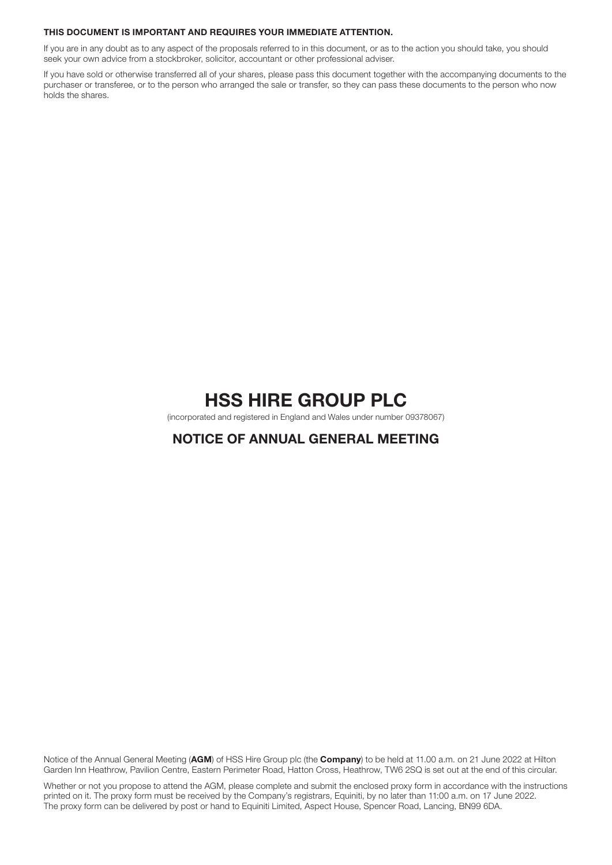#### THIS DOCUMENT IS IMPORTANT AND REQUIRES YOUR IMMEDIATE ATTENTION.

If you are in any doubt as to any aspect of the proposals referred to in this document, or as to the action you should take, you should seek your own advice from a stockbroker, solicitor, accountant or other professional adviser.

If you have sold or otherwise transferred all of your shares, please pass this document together with the accompanying documents to the purchaser or transferee, or to the person who arranged the sale or transfer, so they can pass these documents to the person who now holds the shares.

# HSS HIRE GROUP PLC

(incorporated and registered in England and Wales under number 09378067)

### NOTICE OF ANNUAL GENERAL MEETING

Notice of the Annual General Meeting (AGM) of HSS Hire Group plc (the Company) to be held at 11.00 a.m. on 21 June 2022 at Hilton Garden Inn Heathrow, Pavilion Centre, Eastern Perimeter Road, Hatton Cross, Heathrow, TW6 2SQ is set out at the end of this circular.

Whether or not you propose to attend the AGM, please complete and submit the enclosed proxy form in accordance with the instructions printed on it. The proxy form must be received by the Company's registrars, Equiniti, by no later than 11:00 a.m. on 17 June 2022. The proxy form can be delivered by post or hand to Equiniti Limited, Aspect House, Spencer Road, Lancing, BN99 6DA.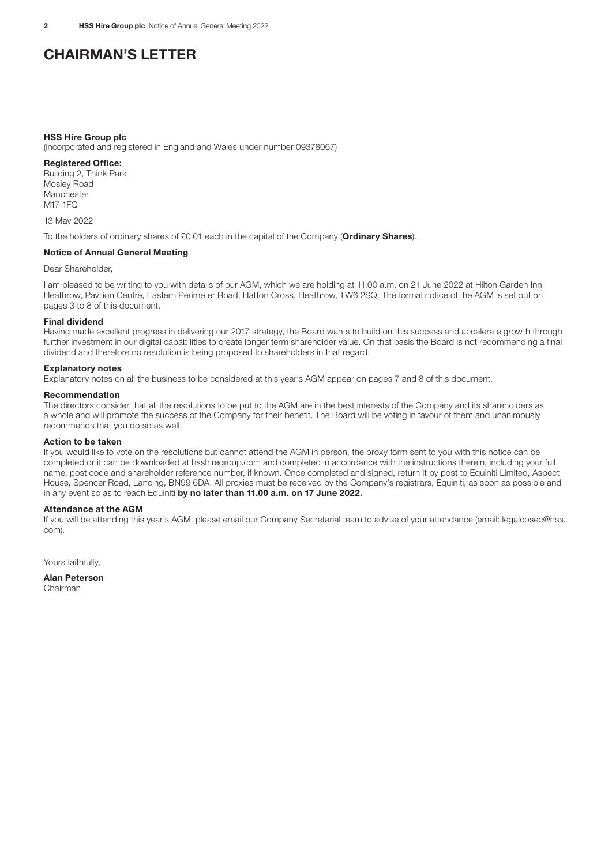## CHAIRMAN'S LETTER

#### HSS Hire Group plc

(incorporated and registered in England and Wales under number 09378067)

#### Registered Office:

Building 2, Think Park Mosley Road **Manchester** M17 1FQ

13 May 2022

To the holders of ordinary shares of £0.01 each in the capital of the Company (Ordinary Shares).

#### Notice of Annual General Meeting

Dear Shareholder,

I am pleased to be writing to you with details of our AGM, which we are holding at 11:00 a.m. on 21 June 2022 at Hilton Garden Inn Heathrow, Pavilion Centre, Eastern Perimeter Road, Hatton Cross, Heathrow, TW6 2SQ. The formal notice of the AGM is set out on pages 3 to 8 of this document.

#### Final dividend

Having made excellent progress in delivering our 2017 strategy, the Board wants to build on this success and accelerate growth through further investment in our digital capabilities to create longer term shareholder value. On that basis the Board is not recommending a final dividend and therefore no resolution is being proposed to shareholders in that regard.

#### Explanatory notes

Explanatory notes on all the business to be considered at this year's AGM appear on pages 7 and 8 of this document.

#### Recommendation

The directors consider that all the resolutions to be put to the AGM are in the best interests of the Company and its shareholders as a whole and will promote the success of the Company for their benefit. The Board will be voting in favour of them and unanimously recommends that you do so as well.

#### Action to be taken

If you would like to vote on the resolutions but cannot attend the AGM in person, the proxy form sent to you with this notice can be completed or it can be downloaded at hsshiregroup.com and completed in accordance with the instructions therein, including your full name, post code and shareholder reference number, if known. Once completed and signed, return it by post to Equiniti Limited, Aspect House, Spencer Road, Lancing, BN99 6DA. All proxies must be received by the Company's registrars, Equiniti, as soon as possible and in any event so as to reach Equiniti by no later than 11.00 a.m. on 17 June 2022.

#### Attendance at the AGM

If you will be attending this year's AGM, please email our Company Secretarial team to advise of your attendance (email: legalcosec@hss. com).

Yours faithfully,

Alan Peterson Chairman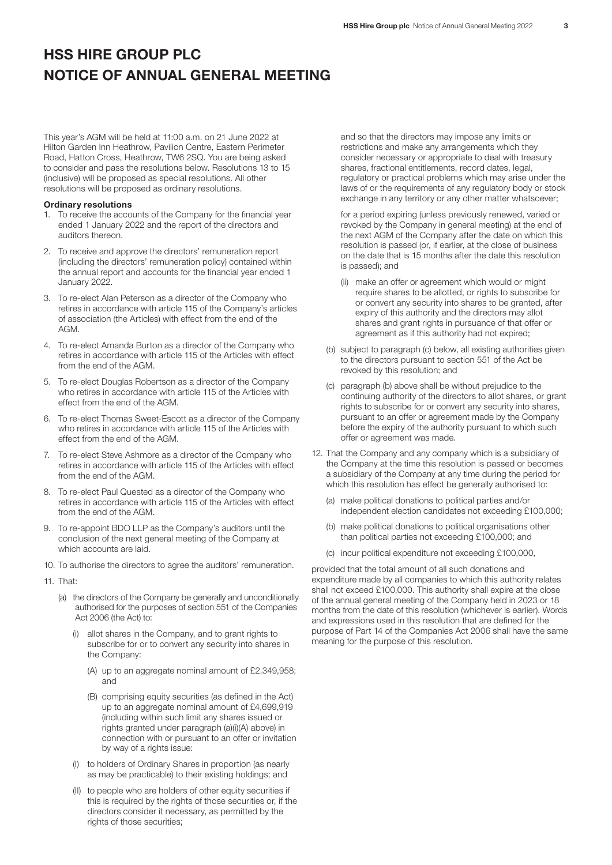# HSS HIRE GROUP PLC NOTICE OF ANNUAL GENERAL MEETING

This year's AGM will be held at 11:00 a.m. on 21 June 2022 at Hilton Garden Inn Heathrow, Pavilion Centre, Eastern Perimeter Road, Hatton Cross, Heathrow, TW6 2SQ. You are being asked to consider and pass the resolutions below. Resolutions 13 to 15 (inclusive) will be proposed as special resolutions. All other resolutions will be proposed as ordinary resolutions.

#### Ordinary resolutions

- 1. To receive the accounts of the Company for the financial year ended 1 January 2022 and the report of the directors and auditors thereon.
- 2. To receive and approve the directors' remuneration report (including the directors' remuneration policy) contained within the annual report and accounts for the financial year ended 1 January 2022.
- 3. To re-elect Alan Peterson as a director of the Company who retires in accordance with article 115 of the Company's articles of association (the Articles) with effect from the end of the AGM.
- 4. To re-elect Amanda Burton as a director of the Company who retires in accordance with article 115 of the Articles with effect from the end of the AGM.
- 5. To re-elect Douglas Robertson as a director of the Company who retires in accordance with article 115 of the Articles with effect from the end of the AGM.
- 6. To re-elect Thomas Sweet-Escott as a director of the Company who retires in accordance with article 115 of the Articles with effect from the end of the AGM.
- 7. To re-elect Steve Ashmore as a director of the Company who retires in accordance with article 115 of the Articles with effect from the end of the AGM.
- 8. To re-elect Paul Quested as a director of the Company who retires in accordance with article 115 of the Articles with effect from the end of the AGM.
- 9. To re-appoint BDO LLP as the Company's auditors until the conclusion of the next general meeting of the Company at which accounts are laid.
- 10. To authorise the directors to agree the auditors' remuneration.
- 11. That:
	- (a) the directors of the Company be generally and unconditionally authorised for the purposes of section 551 of the Companies Act 2006 (the Act) to:
		- allot shares in the Company, and to grant rights to subscribe for or to convert any security into shares in the Company:
			- (A) up to an aggregate nominal amount of £2,349,958; and
			- (B) comprising equity securities (as defined in the Act) up to an aggregate nominal amount of £4,699,919 (including within such limit any shares issued or rights granted under paragraph (a)(i)(A) above) in connection with or pursuant to an offer or invitation by way of a rights issue:
		- (I) to holders of Ordinary Shares in proportion (as nearly as may be practicable) to their existing holdings; and
		- (II) to people who are holders of other equity securities if this is required by the rights of those securities or, if the directors consider it necessary, as permitted by the rights of those securities;

 and so that the directors may impose any limits or restrictions and make any arrangements which they consider necessary or appropriate to deal with treasury shares, fractional entitlements, record dates, legal, regulatory or practical problems which may arise under the laws of or the requirements of any regulatory body or stock exchange in any territory or any other matter whatsoever;

 for a period expiring (unless previously renewed, varied or revoked by the Company in general meeting) at the end of the next AGM of the Company after the date on which this resolution is passed (or, if earlier, at the close of business on the date that is 15 months after the date this resolution is passed); and

- (ii) make an offer or agreement which would or might require shares to be allotted, or rights to subscribe for or convert any security into shares to be granted, after expiry of this authority and the directors may allot shares and grant rights in pursuance of that offer or agreement as if this authority had not expired;
- (b) subject to paragraph (c) below, all existing authorities given to the directors pursuant to section 551 of the Act be revoked by this resolution; and
- (c) paragraph (b) above shall be without prejudice to the continuing authority of the directors to allot shares, or grant rights to subscribe for or convert any security into shares, pursuant to an offer or agreement made by the Company before the expiry of the authority pursuant to which such offer or agreement was made.
- 12. That the Company and any company which is a subsidiary of the Company at the time this resolution is passed or becomes a subsidiary of the Company at any time during the period for which this resolution has effect be generally authorised to:
	- (a) make political donations to political parties and/or independent election candidates not exceeding £100,000;
	- (b) make political donations to political organisations other than political parties not exceeding £100,000; and
	- (c) incur political expenditure not exceeding £100,000,

provided that the total amount of all such donations and expenditure made by all companies to which this authority relates shall not exceed £100,000. This authority shall expire at the close of the annual general meeting of the Company held in 2023 or 18 months from the date of this resolution (whichever is earlier). Words and expressions used in this resolution that are defined for the purpose of Part 14 of the Companies Act 2006 shall have the same meaning for the purpose of this resolution.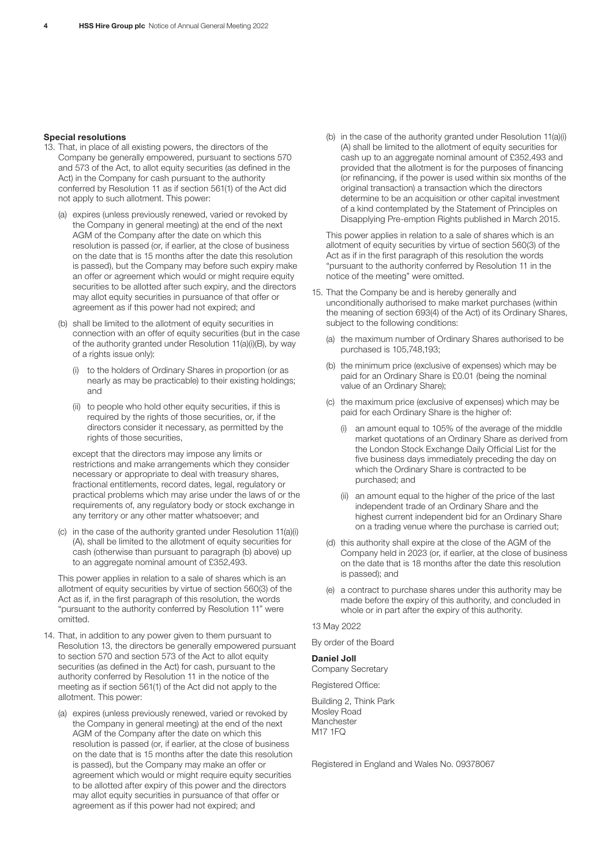#### Special resolutions

- 13. That, in place of all existing powers, the directors of the Company be generally empowered, pursuant to sections 570 and 573 of the Act, to allot equity securities (as defined in the Act) in the Company for cash pursuant to the authority conferred by Resolution 11 as if section 561(1) of the Act did not apply to such allotment. This power:
	- (a) expires (unless previously renewed, varied or revoked by the Company in general meeting) at the end of the next AGM of the Company after the date on which this resolution is passed (or, if earlier, at the close of business on the date that is 15 months after the date this resolution is passed), but the Company may before such expiry make an offer or agreement which would or might require equity securities to be allotted after such expiry, and the directors may allot equity securities in pursuance of that offer or agreement as if this power had not expired; and
	- (b) shall be limited to the allotment of equity securities in connection with an offer of equity securities (but in the case of the authority granted under Resolution 11(a)(i)(B), by way of a rights issue only):
		- (i) to the holders of Ordinary Shares in proportion (or as nearly as may be practicable) to their existing holdings; and
		- (ii) to people who hold other equity securities, if this is required by the rights of those securities, or, if the directors consider it necessary, as permitted by the rights of those securities,

 except that the directors may impose any limits or restrictions and make arrangements which they consider necessary or appropriate to deal with treasury shares, fractional entitlements, record dates, legal, regulatory or practical problems which may arise under the laws of or the requirements of, any regulatory body or stock exchange in any territory or any other matter whatsoever; and

(c) in the case of the authority granted under Resolution 11(a)(i) (A), shall be limited to the allotment of equity securities for cash (otherwise than pursuant to paragraph (b) above) up to an aggregate nominal amount of £352,493.

 This power applies in relation to a sale of shares which is an allotment of equity securities by virtue of section 560(3) of the Act as if, in the first paragraph of this resolution, the words "pursuant to the authority conferred by Resolution 11" were omitted.

- 14. That, in addition to any power given to them pursuant to Resolution 13, the directors be generally empowered pursuant to section 570 and section 573 of the Act to allot equity securities (as defined in the Act) for cash, pursuant to the authority conferred by Resolution 11 in the notice of the meeting as if section 561(1) of the Act did not apply to the allotment. This power:
	- (a) expires (unless previously renewed, varied or revoked by the Company in general meeting) at the end of the next AGM of the Company after the date on which this resolution is passed (or, if earlier, at the close of business on the date that is 15 months after the date this resolution is passed), but the Company may make an offer or agreement which would or might require equity securities to be allotted after expiry of this power and the directors may allot equity securities in pursuance of that offer or agreement as if this power had not expired; and

(b) in the case of the authority granted under Resolution 11(a)(i) (A) shall be limited to the allotment of equity securities for cash up to an aggregate nominal amount of £352,493 and provided that the allotment is for the purposes of financing (or refinancing, if the power is used within six months of the original transaction) a transaction which the directors determine to be an acquisition or other capital investment of a kind contemplated by the Statement of Principles on Disapplying Pre-emption Rights published in March 2015.

 This power applies in relation to a sale of shares which is an allotment of equity securities by virtue of section 560(3) of the Act as if in the first paragraph of this resolution the words "pursuant to the authority conferred by Resolution 11 in the notice of the meeting" were omitted.

- 15. That the Company be and is hereby generally and unconditionally authorised to make market purchases (within the meaning of section 693(4) of the Act) of its Ordinary Shares, subject to the following conditions:
	- (a) the maximum number of Ordinary Shares authorised to be purchased is 105,748,193;
	- (b) the minimum price (exclusive of expenses) which may be paid for an Ordinary Share is £0.01 (being the nominal value of an Ordinary Share);
	- (c) the maximum price (exclusive of expenses) which may be paid for each Ordinary Share is the higher of:
		- (i) an amount equal to 105% of the average of the middle market quotations of an Ordinary Share as derived from the London Stock Exchange Daily Official List for the five business days immediately preceding the day on which the Ordinary Share is contracted to be purchased; and
		- (ii) an amount equal to the higher of the price of the last independent trade of an Ordinary Share and the highest current independent bid for an Ordinary Share on a trading venue where the purchase is carried out;
	- (d) this authority shall expire at the close of the AGM of the Company held in 2023 (or, if earlier, at the close of business on the date that is 18 months after the date this resolution is passed); and
	- (e) a contract to purchase shares under this authority may be made before the expiry of this authority, and concluded in whole or in part after the expiry of this authority.

#### 13 May 2022

By order of the Board

#### Daniel Joll

Company Secretary

Registered Office:

Building 2, Think Park Mosley Road Manchester M17 1FQ

Registered in England and Wales No. 09378067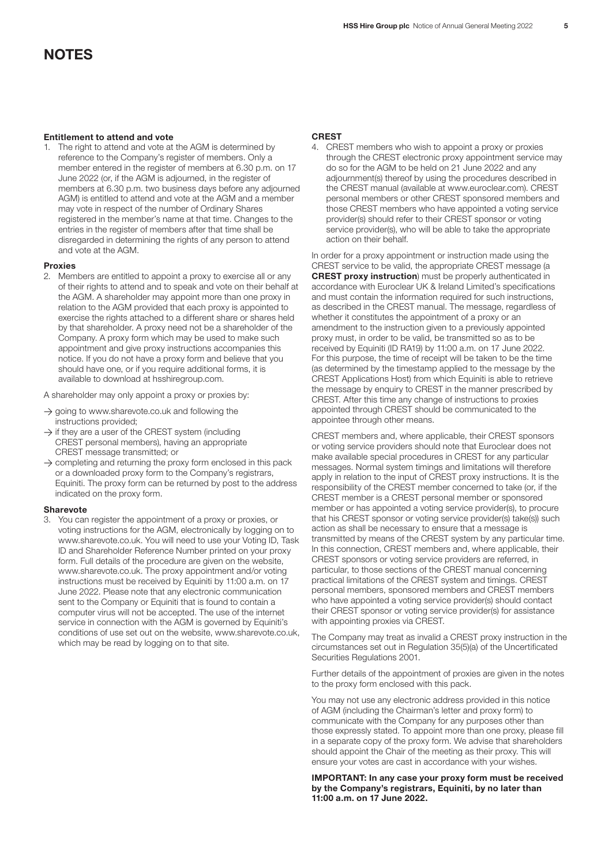#### 5

#### Entitlement to attend and vote

1. The right to attend and vote at the AGM is determined by reference to the Company's register of members. Only a member entered in the register of members at 6.30 p.m. on 17 June 2022 (or, if the AGM is adjourned, in the register of members at 6.30 p.m. two business days before any adjourned AGM) is entitled to attend and vote at the AGM and a member may vote in respect of the number of Ordinary Shares registered in the member's name at that time. Changes to the entries in the register of members after that time shall be disregarded in determining the rights of any person to attend and vote at the AGM.

#### Proxies

2. Members are entitled to appoint a proxy to exercise all or any of their rights to attend and to speak and vote on their behalf at the AGM. A shareholder may appoint more than one proxy in relation to the AGM provided that each proxy is appointed to exercise the rights attached to a different share or shares held by that shareholder. A proxy need not be a shareholder of the Company. A proxy form which may be used to make such appointment and give proxy instructions accompanies this notice. If you do not have a proxy form and believe that you should have one, or if you require additional forms, it is available to download at hsshiregroup.com.

A shareholder may only appoint a proxy or proxies by:

- $\rightarrow$  going to www.sharevote.co.uk and following the instructions provided;
- $\rightarrow$  if they are a user of the CREST system (including CREST personal members), having an appropriate CREST message transmitted; or
- $\rightarrow$  completing and returning the proxy form enclosed in this pack or a downloaded proxy form to the Company's registrars, Equiniti. The proxy form can be returned by post to the address indicated on the proxy form.

#### Sharevote

3. You can register the appointment of a proxy or proxies, or voting instructions for the AGM, electronically by logging on to www.sharevote.co.uk. You will need to use your Voting ID, Task ID and Shareholder Reference Number printed on your proxy form. Full details of the procedure are given on the website, www.sharevote.co.uk. The proxy appointment and/or voting instructions must be received by Equiniti by 11:00 a.m. on 17 June 2022. Please note that any electronic communication sent to the Company or Equiniti that is found to contain a computer virus will not be accepted. The use of the internet service in connection with the AGM is governed by Equiniti's conditions of use set out on the website, www.sharevote.co.uk, which may be read by logging on to that site.

#### CREST

4. CREST members who wish to appoint a proxy or proxies through the CREST electronic proxy appointment service may do so for the AGM to be held on 21 June 2022 and any adjournment(s) thereof by using the procedures described in the CREST manual (available at www.euroclear.com). CREST personal members or other CREST sponsored members and those CREST members who have appointed a voting service provider(s) should refer to their CREST sponsor or voting service provider(s), who will be able to take the appropriate action on their behalf.

In order for a proxy appointment or instruction made using the CREST service to be valid, the appropriate CREST message (a CREST proxy instruction) must be properly authenticated in accordance with Euroclear UK & Ireland Limited's specifications and must contain the information required for such instructions, as described in the CREST manual. The message, regardless of whether it constitutes the appointment of a proxy or an amendment to the instruction given to a previously appointed proxy must, in order to be valid, be transmitted so as to be received by Equiniti (ID RA19) by 11:00 a.m. on 17 June 2022. For this purpose, the time of receipt will be taken to be the time (as determined by the timestamp applied to the message by the CREST Applications Host) from which Equiniti is able to retrieve the message by enquiry to CREST in the manner prescribed by CREST. After this time any change of instructions to proxies appointed through CREST should be communicated to the appointee through other means.

CREST members and, where applicable, their CREST sponsors or voting service providers should note that Euroclear does not make available special procedures in CREST for any particular messages. Normal system timings and limitations will therefore apply in relation to the input of CREST proxy instructions. It is the responsibility of the CREST member concerned to take (or, if the CREST member is a CREST personal member or sponsored member or has appointed a voting service provider(s), to procure that his CREST sponsor or voting service provider(s) take(s)) such action as shall be necessary to ensure that a message is transmitted by means of the CREST system by any particular time. In this connection, CREST members and, where applicable, their CREST sponsors or voting service providers are referred, in particular, to those sections of the CREST manual concerning practical limitations of the CREST system and timings. CREST personal members, sponsored members and CREST members who have appointed a voting service provider(s) should contact their CREST sponsor or voting service provider(s) for assistance with appointing proxies via CREST.

The Company may treat as invalid a CREST proxy instruction in the circumstances set out in Regulation 35(5)(a) of the Uncertificated Securities Regulations 2001.

Further details of the appointment of proxies are given in the notes to the proxy form enclosed with this pack.

You may not use any electronic address provided in this notice of AGM (including the Chairman's letter and proxy form) to communicate with the Company for any purposes other than those expressly stated. To appoint more than one proxy, please fill in a separate copy of the proxy form. We advise that shareholders should appoint the Chair of the meeting as their proxy. This will ensure your votes are cast in accordance with your wishes.

IMPORTANT: In any case your proxy form must be received by the Company's registrars, Equiniti, by no later than 11:00 a.m. on 17 June 2022.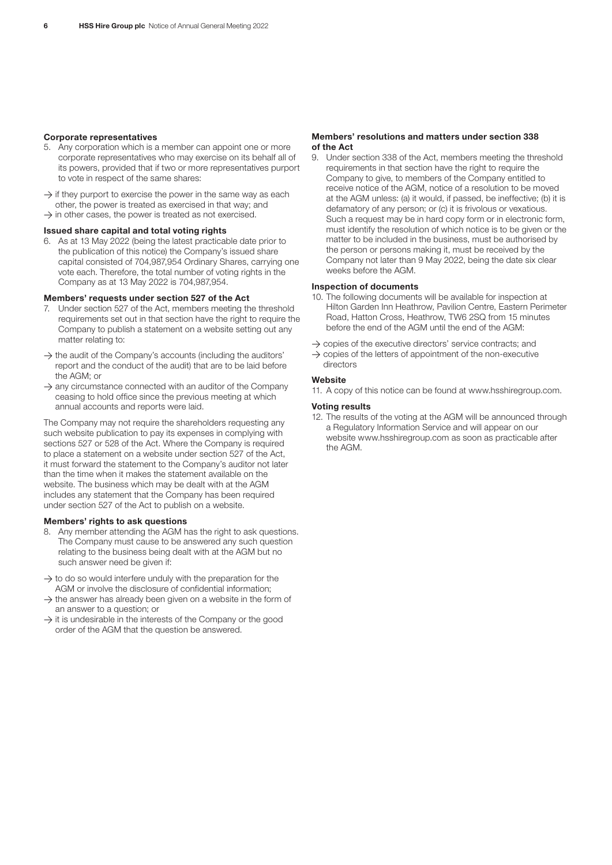#### Corporate representatives

- 5. Any corporation which is a member can appoint one or more corporate representatives who may exercise on its behalf all of its powers, provided that if two or more representatives purport to vote in respect of the same shares:
- $\rightarrow$  if they purport to exercise the power in the same way as each other, the power is treated as exercised in that way; and  $\rightarrow$  in other cases, the power is treated as not exercised.

#### Issued share capital and total voting rights

6. As at 13 May 2022 (being the latest practicable date prior to the publication of this notice) the Company's issued share capital consisted of 704,987,954 Ordinary Shares, carrying one vote each. Therefore, the total number of voting rights in the Company as at 13 May 2022 is 704,987,954.

#### Members' requests under section 527 of the Act

- 7. Under section 527 of the Act, members meeting the threshold requirements set out in that section have the right to require the Company to publish a statement on a website setting out any matter relating to:
- $\rightarrow$  the audit of the Company's accounts (including the auditors' report and the conduct of the audit) that are to be laid before the AGM; or
- $\rightarrow$  any circumstance connected with an auditor of the Company ceasing to hold office since the previous meeting at which annual accounts and reports were laid.

The Company may not require the shareholders requesting any such website publication to pay its expenses in complying with sections 527 or 528 of the Act. Where the Company is required to place a statement on a website under section 527 of the Act, it must forward the statement to the Company's auditor not later than the time when it makes the statement available on the website. The business which may be dealt with at the AGM includes any statement that the Company has been required under section 527 of the Act to publish on a website.

#### Members' rights to ask questions

- 8. Any member attending the AGM has the right to ask questions. The Company must cause to be answered any such question relating to the business being dealt with at the AGM but no such answer need be given if:
- $\rightarrow$  to do so would interfere unduly with the preparation for the AGM or involve the disclosure of confidential information;
- $\rightarrow$  the answer has already been given on a website in the form of an answer to a question; or
- $\rightarrow$  it is undesirable in the interests of the Company or the good order of the AGM that the question be answered.

#### Members' resolutions and matters under section 338 of the Act

9. Under section 338 of the Act, members meeting the threshold requirements in that section have the right to require the Company to give, to members of the Company entitled to receive notice of the AGM, notice of a resolution to be moved at the AGM unless: (a) it would, if passed, be ineffective; (b) it is defamatory of any person; or (c) it is frivolous or vexatious. Such a request may be in hard copy form or in electronic form, must identify the resolution of which notice is to be given or the matter to be included in the business, must be authorised by the person or persons making it, must be received by the Company not later than 9 May 2022, being the date six clear weeks before the AGM.

#### Inspection of documents

- 10. The following documents will be available for inspection at Hilton Garden Inn Heathrow, Pavilion Centre, Eastern Perimeter Road, Hatton Cross, Heathrow, TW6 2SQ from 15 minutes before the end of the AGM until the end of the AGM:
- $\rightarrow$  copies of the executive directors' service contracts: and
- $\rightarrow$  copies of the letters of appointment of the non-executive directors

#### **Website**

11. A copy of this notice can be found at www.hsshiregroup.com.

#### Voting results

12. The results of the voting at the AGM will be announced through a Regulatory Information Service and will appear on our website www.hsshiregroup.com as soon as practicable after the AGM.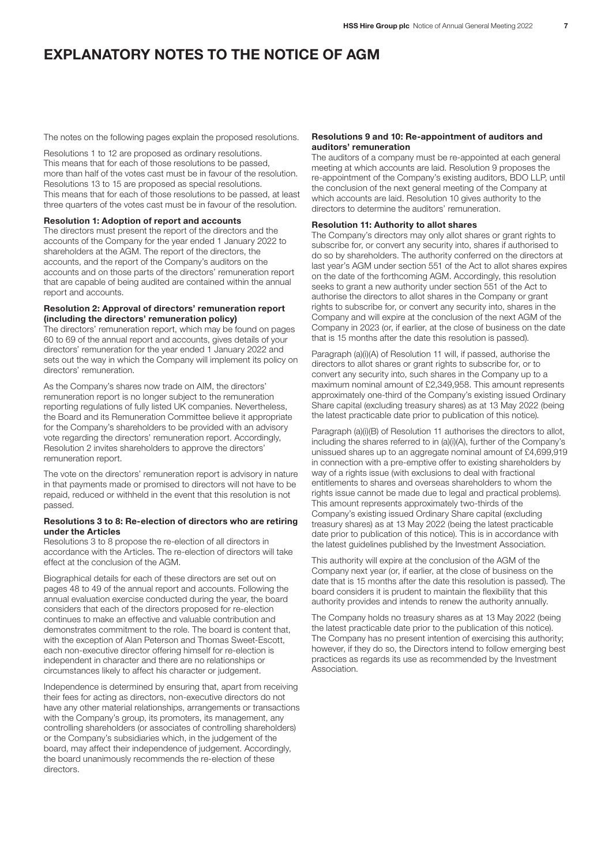### EXPLANATORY NOTES TO THE NOTICE OF AGM

The notes on the following pages explain the proposed resolutions.

Resolutions 1 to 12 are proposed as ordinary resolutions. This means that for each of those resolutions to be passed, more than half of the votes cast must be in favour of the resolution. Resolutions 13 to 15 are proposed as special resolutions. This means that for each of those resolutions to be passed, at least three quarters of the votes cast must be in favour of the resolution.

#### Resolution 1: Adoption of report and accounts

The directors must present the report of the directors and the accounts of the Company for the year ended 1 January 2022 to shareholders at the AGM. The report of the directors, the accounts, and the report of the Company's auditors on the accounts and on those parts of the directors' remuneration report that are capable of being audited are contained within the annual report and accounts.

#### Resolution 2: Approval of directors' remuneration report (including the directors' remuneration policy)

The directors' remuneration report, which may be found on pages 60 to 69 of the annual report and accounts, gives details of your directors' remuneration for the year ended 1 January 2022 and sets out the way in which the Company will implement its policy on directors' remuneration.

As the Company's shares now trade on AIM, the directors' remuneration report is no longer subject to the remuneration reporting regulations of fully listed UK companies. Nevertheless, the Board and its Remuneration Committee believe it appropriate for the Company's shareholders to be provided with an advisory vote regarding the directors' remuneration report. Accordingly, Resolution 2 invites shareholders to approve the directors' remuneration report.

The vote on the directors' remuneration report is advisory in nature in that payments made or promised to directors will not have to be repaid, reduced or withheld in the event that this resolution is not passed.

#### Resolutions 3 to 8: Re-election of directors who are retiring under the Articles

Resolutions 3 to 8 propose the re-election of all directors in accordance with the Articles. The re-election of directors will take effect at the conclusion of the AGM.

Biographical details for each of these directors are set out on pages 48 to 49 of the annual report and accounts. Following the annual evaluation exercise conducted during the year, the board considers that each of the directors proposed for re-election continues to make an effective and valuable contribution and demonstrates commitment to the role. The board is content that, with the exception of Alan Peterson and Thomas Sweet-Escott, each non-executive director offering himself for re-election is independent in character and there are no relationships or circumstances likely to affect his character or judgement.

Independence is determined by ensuring that, apart from receiving their fees for acting as directors, non-executive directors do not have any other material relationships, arrangements or transactions with the Company's group, its promoters, its management, any controlling shareholders (or associates of controlling shareholders) or the Company's subsidiaries which, in the judgement of the board, may affect their independence of judgement. Accordingly, the board unanimously recommends the re-election of these directors.

#### Resolutions 9 and 10: Re-appointment of auditors and auditors' remuneration

The auditors of a company must be re-appointed at each general meeting at which accounts are laid. Resolution 9 proposes the re-appointment of the Company's existing auditors, BDO LLP, until the conclusion of the next general meeting of the Company at which accounts are laid. Resolution 10 gives authority to the directors to determine the auditors' remuneration.

#### Resolution 11: Authority to allot shares

The Company's directors may only allot shares or grant rights to subscribe for, or convert any security into, shares if authorised to do so by shareholders. The authority conferred on the directors at last year's AGM under section 551 of the Act to allot shares expires on the date of the forthcoming AGM. Accordingly, this resolution seeks to grant a new authority under section 551 of the Act to authorise the directors to allot shares in the Company or grant rights to subscribe for, or convert any security into, shares in the Company and will expire at the conclusion of the next AGM of the Company in 2023 (or, if earlier, at the close of business on the date that is 15 months after the date this resolution is passed).

Paragraph (a)(i)(A) of Resolution 11 will, if passed, authorise the directors to allot shares or grant rights to subscribe for, or to convert any security into, such shares in the Company up to a maximum nominal amount of £2,349,958. This amount represents approximately one-third of the Company's existing issued Ordinary Share capital (excluding treasury shares) as at 13 May 2022 (being the latest practicable date prior to publication of this notice).

Paragraph (a)(i)(B) of Resolution 11 authorises the directors to allot, including the shares referred to in (a)(i)(A), further of the Company's unissued shares up to an aggregate nominal amount of £4,699,919 in connection with a pre-emptive offer to existing shareholders by way of a rights issue (with exclusions to deal with fractional entitlements to shares and overseas shareholders to whom the rights issue cannot be made due to legal and practical problems). This amount represents approximately two-thirds of the Company's existing issued Ordinary Share capital (excluding treasury shares) as at 13 May 2022 (being the latest practicable date prior to publication of this notice). This is in accordance with the latest guidelines published by the Investment Association.

This authority will expire at the conclusion of the AGM of the Company next year (or, if earlier, at the close of business on the date that is 15 months after the date this resolution is passed). The board considers it is prudent to maintain the flexibility that this authority provides and intends to renew the authority annually.

The Company holds no treasury shares as at 13 May 2022 (being the latest practicable date prior to the publication of this notice). The Company has no present intention of exercising this authority; however, if they do so, the Directors intend to follow emerging best practices as regards its use as recommended by the Investment Association.

7